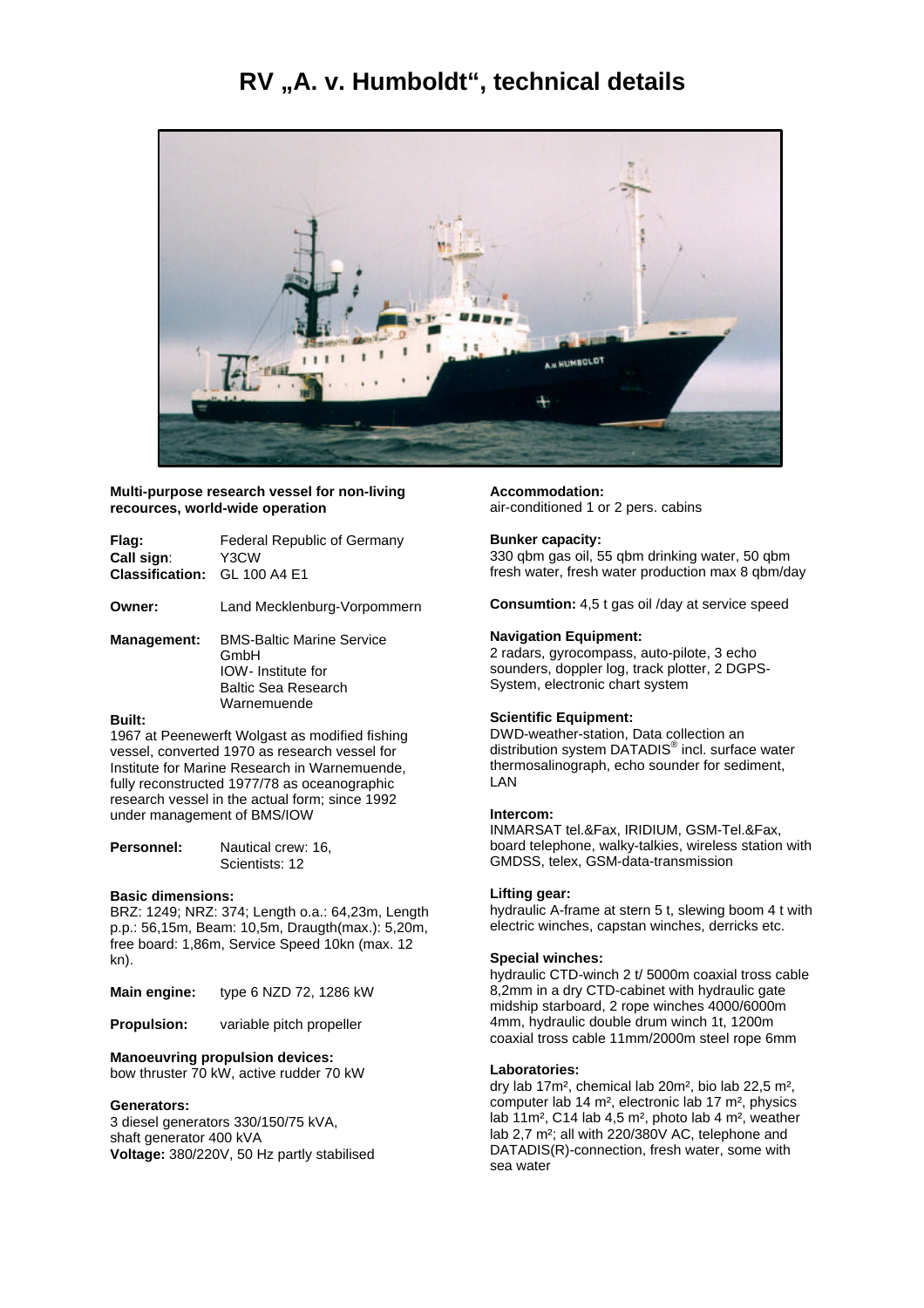## **RV "A. v. Humboldt", technical details**



**Multi-purpose research vessel for non-living recources, world-wide operation**

| Flag:<br>Call sign:<br><b>Classification:</b> | <b>Federal Republic of Germany</b><br>Y3CW<br>GL 100 A4 F1                                                         |
|-----------------------------------------------|--------------------------------------------------------------------------------------------------------------------|
| Owner:                                        | Land Mecklenburg-Vorpommern                                                                                        |
| <b>Management:</b>                            | <b>BMS-Baltic Marine Service</b><br>GmbH<br><b>IOW-</b> Institute for<br><b>Baltic Sea Research</b><br>Warnemuende |
| <b>Built:</b>                                 |                                                                                                                    |
|                                               |                                                                                                                    |

1967 at Peenewerft Wolgast as modified fishing vessel, converted 1970 as research vessel for Institute for Marine Research in Warnemuende, fully reconstructed 1977/78 as oceanographic research vessel in the actual form; since 1992 under management of BMS/IOW

| <b>Personnel:</b> | Nautical crew: 16, |
|-------------------|--------------------|
|                   | Scientists: 12     |

## **Basic dimensions:**

BRZ: 1249; NRZ: 374; Length o.a.: 64,23m, Length p.p.: 56,15m, Beam: 10,5m, Draugth(max.): 5,20m, free board: 1,86m, Service Speed 10kn (max. 12 kn).

| <b>Main engine:</b> | type 6 NZD 72, 1286 kW |
|---------------------|------------------------|
|---------------------|------------------------|

**Propulsion:** variable pitch propeller

#### **Manoeuvring propulsion devices:**

bow thruster 70 kW, active rudder 70 kW

#### **Generators:**

3 diesel generators 330/150/75 kVA, shaft generator 400 kVA **Voltage:** 380/220V, 50 Hz partly stabilised **Accommodation:** air-conditioned 1 or 2 pers. cabins

## **Bunker capacity:**

330 qbm gas oil, 55 qbm drinking water, 50 qbm fresh water, fresh water production max 8 qbm/day

**Consumtion:** 4,5 t gas oil /day at service speed

## **Navigation Equipment:**

2 radars, gyrocompass, auto-pilote, 3 echo sounders, doppler log, track plotter, 2 DGPS-System, electronic chart system

#### **Scientific Equipment:**

DWD-weather-station, Data collection an distribution system DATADIS<sup>®</sup> incl. surface water thermosalinograph, echo sounder for sediment, LAN

#### **Intercom:**

INMARSAT tel.&Fax, IRIDIUM, GSM-Tel.&Fax, board telephone, walky-talkies, wireless station with GMDSS, telex, GSM-data-transmission

#### **Lifting gear:**

hydraulic A-frame at stern 5 t, slewing boom 4 t with electric winches, capstan winches, derricks etc.

#### **Special winches:**

hydraulic CTD-winch 2 t/ 5000m coaxial tross cable 8,2mm in a dry CTD-cabinet with hydraulic gate midship starboard, 2 rope winches 4000/6000m 4mm, hydraulic double drum winch 1t, 1200m coaxial tross cable 11mm/2000m steel rope 6mm

#### **Laboratories:**

dry lab 17m², chemical lab 20m², bio lab 22,5 m², computer lab 14 m², electronic lab 17 m², physics lab 11m², C14 lab 4,5 m², photo lab 4 m², weather lab 2.7 m<sup>2</sup>; all with 220/380V AC, telephone and DATADIS(R)-connection, fresh water, some with sea water